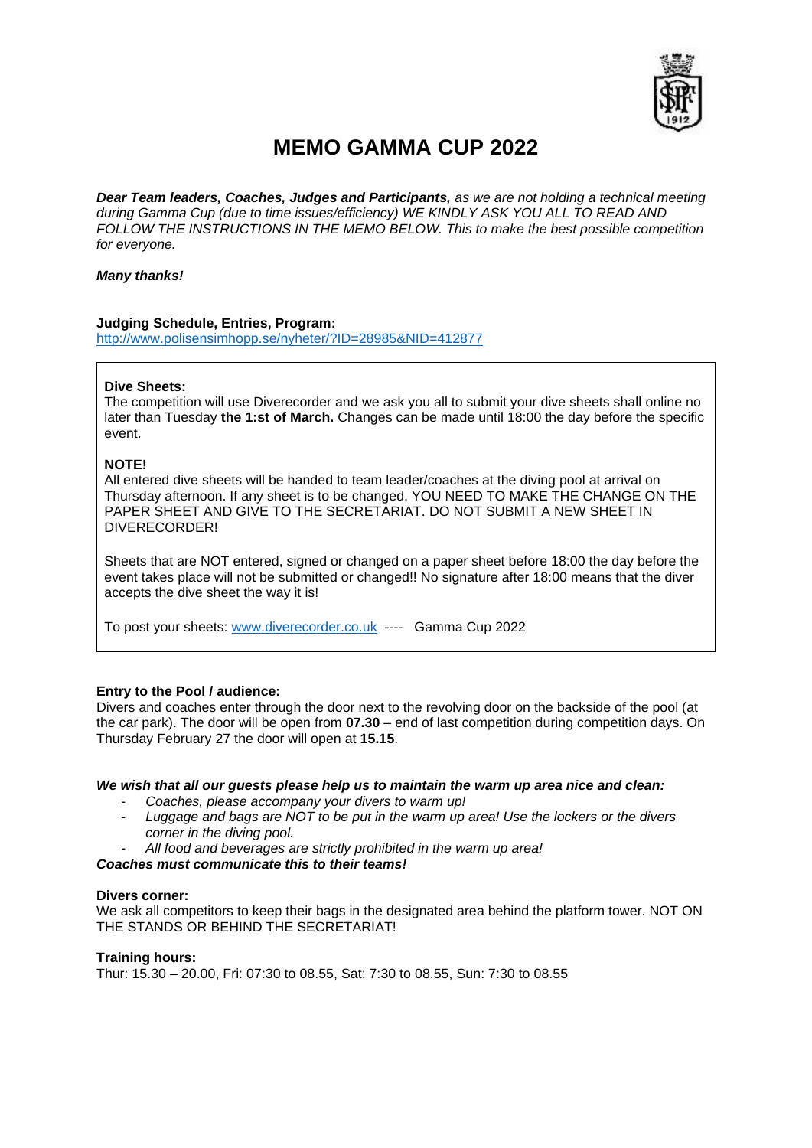

## **MEMO GAMMA CUP 2022**

*Dear Team leaders, Coaches, Judges and Participants, as we are not holding a technical meeting during Gamma Cup (due to time issues/efficiency) WE KINDLY ASK YOU ALL TO READ AND FOLLOW THE INSTRUCTIONS IN THE MEMO BELOW. This to make the best possible competition for everyone.* 

## *Many thanks!*

## **Judging Schedule, Entries, Program:**

<http://www.polisensimhopp.se/nyheter/?ID=28985&NID=412877>

## **Dive Sheets:**

The competition will use Diverecorder and we ask you all to submit your dive sheets shall online no later than Tuesday **the 1:st of March.** Changes can be made until 18:00 the day before the specific event.

#### **NOTE!**

All entered dive sheets will be handed to team leader/coaches at the diving pool at arrival on Thursday afternoon. If any sheet is to be changed, YOU NEED TO MAKE THE CHANGE ON THE PAPER SHEET AND GIVE TO THE SECRETARIAT. DO NOT SUBMIT A NEW SHEET IN DIVERECORDER!

Sheets that are NOT entered, signed or changed on a paper sheet before 18:00 the day before the event takes place will not be submitted or changed!! No signature after 18:00 means that the diver accepts the dive sheet the way it is!

To post your sheets: [www.diverecorder.co.uk](http://www.diverecorder.co.uk/) ---- Gamma Cup 2022

#### **Entry to the Pool / audience:**

Divers and coaches enter through the door next to the revolving door on the backside of the pool (at the car park). The door will be open from **07.30** – end of last competition during competition days. On Thursday February 27 the door will open at **15.15**.

#### *We wish that all our guests please help us to maintain the warm up area nice and clean:*

- *Coaches, please accompany your divers to warm up!*
- *Luggage and bags are NOT to be put in the warm up area! Use the lockers or the divers corner in the diving pool.*
- *All food and beverages are strictly prohibited in the warm up area!*

## *Coaches must communicate this to their teams!*

#### **Divers corner:**

We ask all competitors to keep their bags in the designated area behind the platform tower. NOT ON THE STANDS OR BEHIND THE SECRETARIAT!

#### **Training hours:**

Thur: 15.30 – 20.00, Fri: 07:30 to 08.55, Sat: 7:30 to 08.55, Sun: 7:30 to 08.55